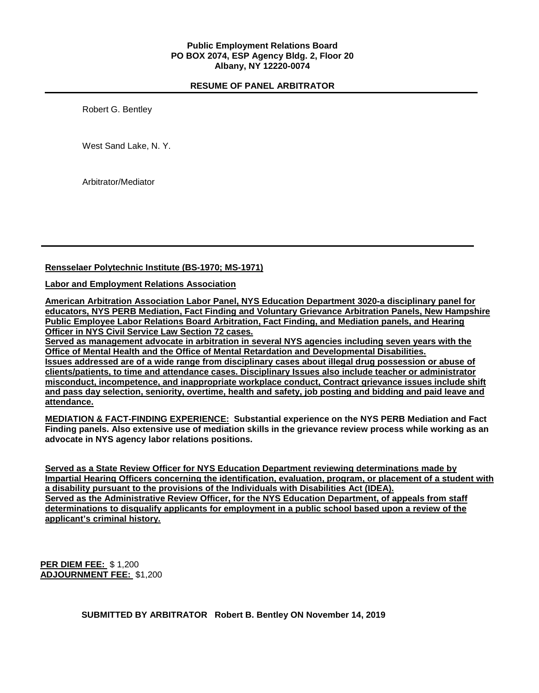# **RESUME OF PANEL ARBITRATOR**

Robert G. Bentley

West Sand Lake, N. Y.

Arbitrator/Mediator

## **Rensselaer Polytechnic Institute (BS-1970; MS-1971)**

## **Labor and Employment Relations Association**

**American Arbitration Association Labor Panel, NYS Education Department 3020-a disciplinary panel for educators, NYS PERB Mediation, Fact Finding and Voluntary Grievance Arbitration Panels, New Hampshire Public Employee Labor Relations Board Arbitration, Fact Finding, and Mediation panels, and Hearing Officer in NYS Civil Service Law Section 72 cases.**

**Served as management advocate in arbitration in several NYS agencies including seven years with the Office of Mental Health and the Office of Mental Retardation and Developmental Disabilities.**

**Issues addressed are of a wide range from disciplinary cases about illegal drug possession or abuse of clients/patients, to time and attendance cases. Disciplinary Issues also include teacher or administrator misconduct, incompetence, and inappropriate workplace conduct, Contract grievance issues include shift** and pass day selection, seniority, overtime, health and safety, job posting and bidding and paid leave and **attendance.**

**MEDIATION & FACT-FINDING EXPERIENCE: Substantial experience on the NYS PERB Mediation and Fact** Finding panels. Also extensive use of mediation skills in the grievance review process while working as an **advocate in NYS agency labor relations positions.**

**Served as a State Review Officer for NYS Education Department reviewing determinations made by Impartial Hearing Officers concerning the identification, evaluation, program, or placement of a student with a disability pursuant to the provisions of the Individuals with Disabilities Act (IDEA). Served as the Administrative Review Officer, for the NYS Education Department, of appeals from staff determinations to disqualify applicants for employment in a public school based upon a review of the applicant's criminal history.**

**PER DIEM FEE:** \$ 1,200 **ADJOURNMENT FEE:** \$1,200

**SUBMITTED BY ARBITRATOR Robert B. Bentley ON November 14, 2019**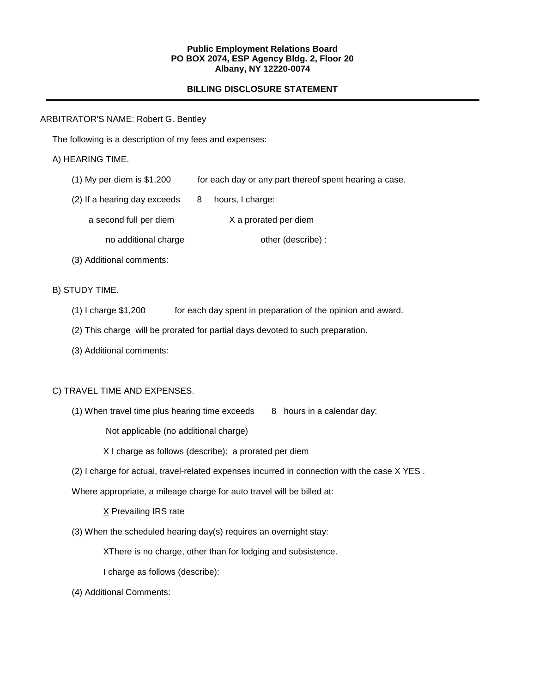#### **Public Employment Relations Board PO BOX 2074, ESP Agency Bldg. 2, Floor 20 Albany, NY 12220-0074**

# **BILLING DISCLOSURE STATEMENT**

### ARBITRATOR'S NAME: Robert G. Bentley

The following is a description of my fees and expenses:

## A) HEARING TIME.

- (1) My per diem is \$1,200 for each day or any part thereof spent hearing a case.
- $(2)$  If a hearing day exceeds  $8$  hours, I charge:
	- a second full per diem X a prorated per diem
		- no additional charge other (describe) :
- (3) Additional comments:

# B) STUDY TIME.

- (1) I charge \$1,200 for each day spent in preparation of the opinion and award.
- (2) This charge will be prorated for partial days devoted to such preparation.
- (3) Additional comments:

## C) TRAVEL TIME AND EXPENSES.

(1) When travel time plus hearing time exceeds  $8$  hours in a calendar day:

Not applicable (no additional charge)

X I charge as follows (describe): a prorated per diem

(2) I charge for actual, travel-related expenses incurred in connection with the case X YES .

Where appropriate, a mileage charge for auto travel will be billed at:

X Prevailing IRS rate

(3) When the scheduled hearing day(s) requires an overnight stay:

XThere is no charge, other than for lodging and subsistence.

I charge as follows (describe):

(4) Additional Comments: